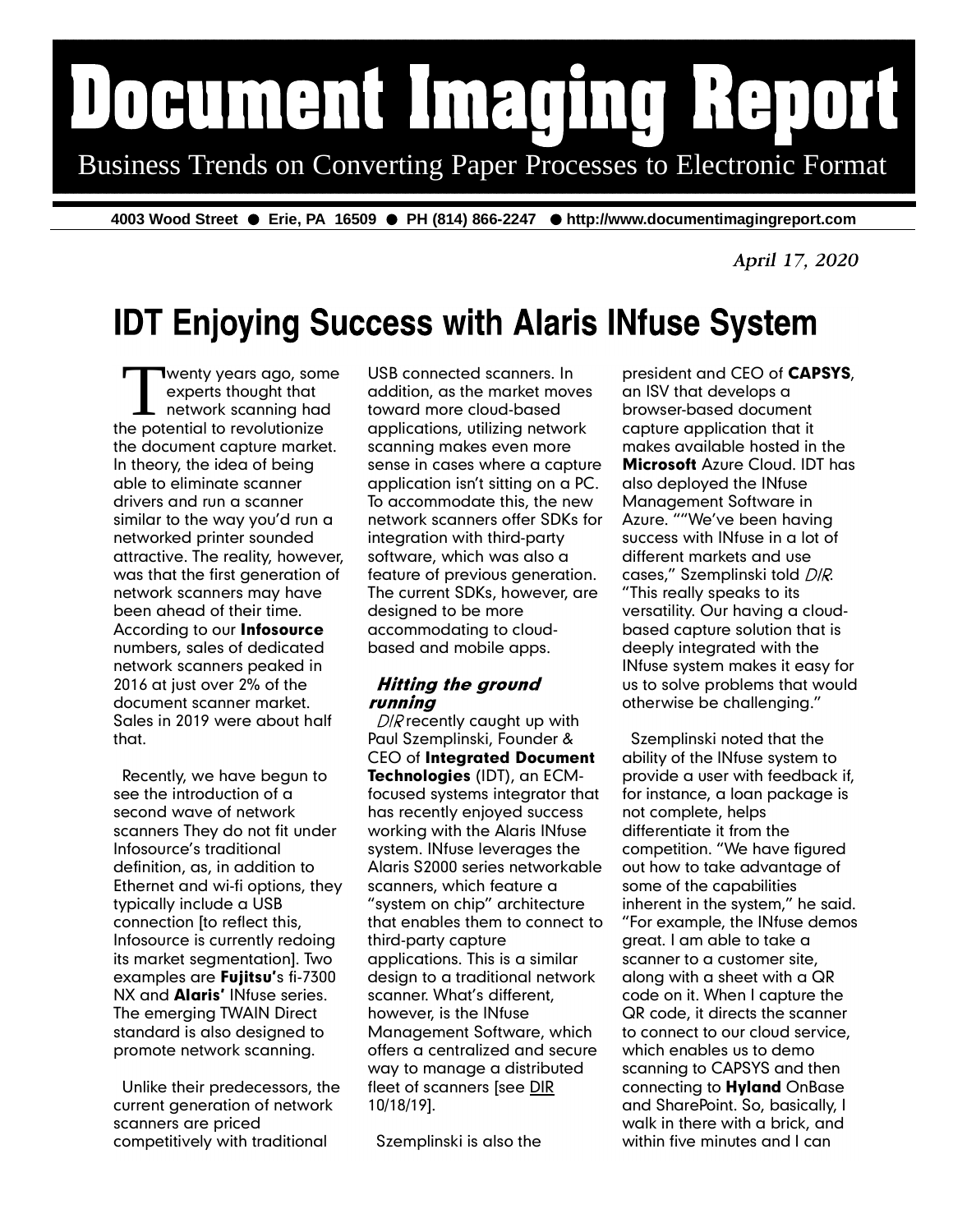# Document Imaging Report Business Trends on Converting Paper Processes to Electronic Format

4003 Wood Street ● Erie, PA 16509 ● PH (814) 866-2247 ● http://www.documentimagingreport.com

April 17, 2020

## **IDT Enjoying Success with Alaris INfuse System**

T wenty years ago, son<br>
experts thought that<br>
network scanning has<br>
the potential to revolutionize wenty years ago, some experts thought that network scanning had the document capture market. In theory, the idea of being able to eliminate scanner drivers and run a scanner similar to the way you'd run a networked printer sounded attractive. The reality, however, was that the first generation of network scanners may have been ahead of their time. According to our Infosource numbers, sales of dedicated network scanners peaked in 2016 at just over 2% of the document scanner market. Sales in 2019 were about half that.

Recently, we have begun to see the introduction of a second wave of network scanners They do not fit under Infosource's traditional definition, as, in addition to Ethernet and wi-fi options, they typically include a USB connection [to reflect this, Infosource is currently redoing its market segmentation]. Two examples are Fujitsu's fi-7300 NX and **Alaris'** INfuse series. The emerging TWAIN Direct standard is also designed to promote network scanning.

Unlike their predecessors, the current generation of network scanners are priced competitively with traditional

USB connected scanners. In addition, as the market moves toward more cloud-based applications, utilizing network scanning makes even more sense in cases where a capture application isn't sitting on a PC. To accommodate this, the new network scanners offer SDKs for integration with third-party software, which was also a feature of previous generation. The current SDKs, however, are designed to be more accommodating to cloudbased and mobile apps.

#### **Hitting the ground** running

 $D/R$  recently caught up with Paul Szemplinski, Founder & CEO of Integrated Document Technologies (IDT), an ECMfocused systems integrator that has recently enjoyed success working with the Alaris INfuse system. INfuse leverages the Alaris S2000 series networkable scanners, which feature a "system on chip" architecture that enables them to connect to third-party capture applications. This is a similar design to a traditional network scanner. What's different, however, is the INfuse Management Software, which offers a centralized and secure way to manage a distributed fleet of scanners [see DIR 10/18/19].

Szemplinski is also the

president and CEO of CAPSYS, an ISV that develops a browser-based document capture application that it makes available hosted in the **Microsoft** Azure Cloud. **IDT** has also deployed the INfuse Management Software in Azure. ""We've been having success with INfuse in a lot of different markets and use cases," Szemplinski told DIR. "This really speaks to its versatility. Our having a cloudbased capture solution that is deeply integrated with the INfuse system makes it easy for us to solve problems that would otherwise be challenging."

Szemplinski noted that the ability of the INfuse system to provide a user with feedback if, for instance, a loan package is not complete, helps differentiate it from the competition. "We have figured out how to take advantage of some of the capabilities inherent in the system," he said. "For example, the INfuse demos great. I am able to take a scanner to a customer site, along with a sheet with a QR code on it. When I capture the QR code, it directs the scanner to connect to our cloud service, which enables us to demo scanning to CAPSYS and then connecting to **Hyland** OnBase and SharePoint. So, basically, I walk in there with a brick, and within five minutes and I can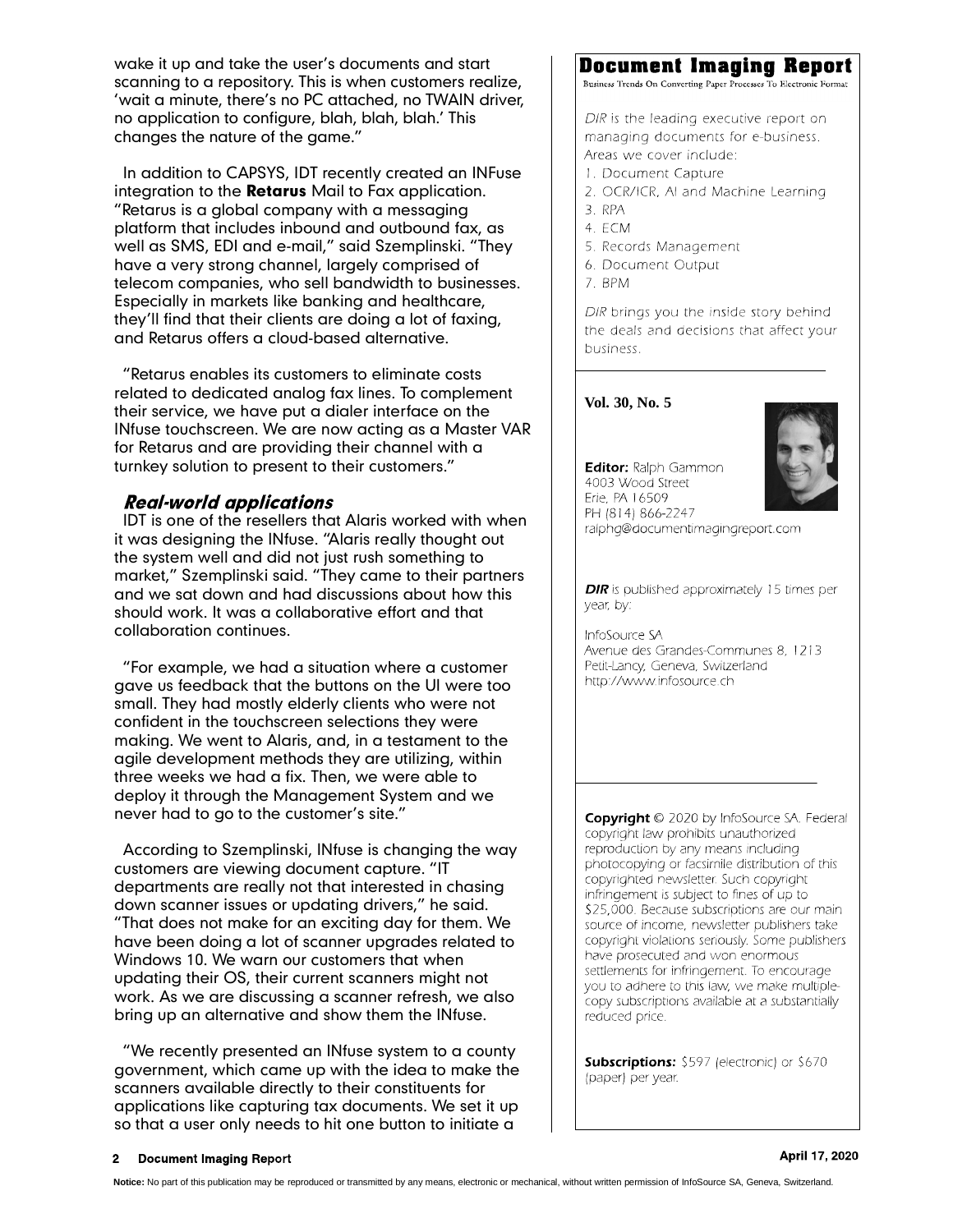wake it up and take the user's documents and start scanning to a repository. This is when customers realize, 'wait a minute, there's no PC attached, no TWAIN driver, no application to configure, blah, blah, blah.' This changes the nature of the game."

In addition to CAPSYS, IDT recently created an INFuse integration to the Retarus Mail to Fax application. "Retarus is a global company with a messaging platform that includes inbound and outbound fax, as well as SMS, EDI and e-mail," said Szemplinski. "They have a very strong channel, largely comprised of telecom companies, who sell bandwidth to businesses. Especially in markets like banking and healthcare, they'll find that their clients are doing a lot of faxing, and Retarus offers a cloud-based alternative.

"Retarus enables its customers to eliminate costs related to dedicated analog fax lines. To complement their service, we have put a dialer interface on the INfuse touchscreen. We are now acting as a Master VAR for Retarus and are providing their channel with a turnkey solution to present to their customers."

#### **Real-world applications**

IDT is one of the resellers that Alaris worked with when it was designing the INfuse. "Alaris really thought out the system well and did not just rush something to market," Szemplinski said. "They came to their partners and we sat down and had discussions about how this should work. It was a collaborative effort and that collaboration continues.

"For example, we had a situation where a customer gave us feedback that the buttons on the UI were too small. They had mostly elderly clients who were not confident in the touchscreen selections they were making. We went to Alaris, and, in a testament to the agile development methods they are utilizing, within three weeks we had a fix. Then, we were able to deploy it through the Management System and we never had to go to the customer's site."

According to Szemplinski, INfuse is changing the way customers are viewing document capture. "IT departments are really not that interested in chasing down scanner issues or updating drivers," he said. "That does not make for an exciting day for them. We have been doing a lot of scanner upgrades related to Windows 10. We warn our customers that when updating their OS, their current scanners might not work. As we are discussing a scanner refresh, we also bring up an alternative and show them the INfuse.

"We recently presented an INfuse system to a county government, which came up with the idea to make the scanners available directly to their constituents for applications like capturing tax documents. We set it up so that a user only needs to hit one button to initiate a

### **Document Imaging Report**

Business Trends On Converting Paper Processes To Electronic Format

DIR is the leading executive report on managing documents for e-business. Areas we cover include:

- 1. Document Capture
- 2. OCR/ICR, AI and Machine Learning
- 3. RPA
- 4. ECM
- 5. Records Management
- 6. Document Output
- 7. BPM

DIR brings you the inside story behind the deals and decisions that affect your business.

#### **Vol. 30, No. 5**



Editor: Ralph Gammon 4003 Wood Street Erie, PA 16509 PH (814) 866-2247 ralphg@documentimagingreport.com

**DIR** is published approximately 15 times per year, by:

InfoSource SA Avenue des Grandes-Communes 8, 1213 Petit-Lancy, Geneva, Switzerland http://www.infosource.ch

Copyright © 2020 by InfoSource SA. Federal copyright law prohibits unauthorized reproduction by any means including photocopying or facsimile distribution of this copyrighted newsletter. Such copyright infringement is subject to fines of up to \$25,000. Because subscriptions are our main source of income, newsletter publishers take copyright violations seriously. Some publishers have prosecuted and won enormous settlements for infringement. To encourage you to adhere to this law, we make multiplecopy subscriptions available at a substantially reduced price.

**Subscriptions:** \$597 (electronic) or \$670 (paper) per year.